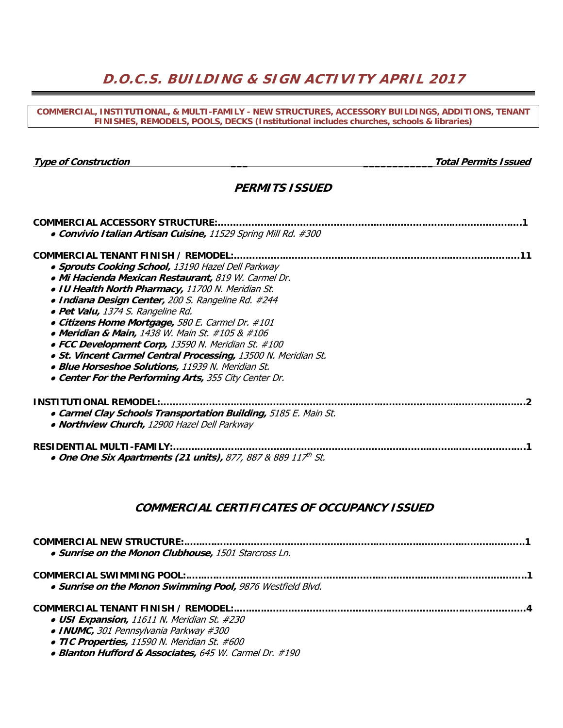## **D.O.C.S. BUILDING & SIGN ACTIVITY APRIL 2017**

**COMMERCIAL, INSTITUTIONAL, & MULTI-FAMILY - NEW STRUCTURES, ACCESSORY BUILDINGS, ADDITIONS, TENANT FINISHES, REMODELS, POOLS, DECKS (Institutional includes churches, schools & libraries)** 

**Type of Construction \_\_\_ \_\_\_\_\_\_\_\_\_\_\_\_Total Permits Issued** 

### **PERMITS ISSUED**

| <b>COMMERCIAL ACCESSORY STRUCTURE:</b><br>• Convivio Italian Artisan Cuisine, 11529 Spring Mill Rd. #300 |
|----------------------------------------------------------------------------------------------------------|
| COMMERCIAL TENANT FINISH / REMODEL:                                                                      |
| • Sprouts Cooking School, 13190 Hazel Dell Parkway                                                       |
| • Mi Hacienda Mexican Restaurant, 819 W. Carmel Dr.                                                      |
| • IU Health North Pharmacy, 11700 N. Meridian St.                                                        |
| • Indiana Design Center, 200 S. Rangeline Rd. #244                                                       |
| • Pet Valu, 1374 S. Rangeline Rd.                                                                        |
| • Citizens Home Mortgage, 580 E. Carmel Dr. #101                                                         |
| • Meridian & Main, 1438 W. Main St. #105 & #106                                                          |
| • FCC Development Corp, 13590 N. Meridian St. #100                                                       |
| • St. Vincent Carmel Central Processing, 13500 N. Meridian St.                                           |
| • Blue Horseshoe Solutions, 11939 N. Meridian St.                                                        |
| • Center For the Performing Arts, 355 City Center Dr.                                                    |
| <b>INSTITUTIONAL REMODEL:</b>                                                                            |
| • Carmel Clay Schools Transportation Building, 5185 E. Main St.                                          |
| • Northview Church, 12900 Hazel Dell Parkway                                                             |
| <b>RESIDENTIAL MULTI-FAMILY:.</b><br>• One One Six Apartments (21 units), 877, 887 & 889 $117th$ St.     |

### **COMMERCIAL CERTIFICATES OF OCCUPANCY ISSUED**

| • Sunrise on the Monon Clubhouse, 1501 Starcross Ln.                                                                            |  |
|---------------------------------------------------------------------------------------------------------------------------------|--|
|                                                                                                                                 |  |
| . Sunrise on the Monon Swimming Pool, 9876 Westfield Blvd.                                                                      |  |
|                                                                                                                                 |  |
| • USI Expansion, 11611 N. Meridian St. #230                                                                                     |  |
| • INUMC, 301 Pennsylvania Parkway #300                                                                                          |  |
| • TIC Properties, 11590 N. Meridian St. #600                                                                                    |  |
| $\mathbb{R}^{1}$ is the case of the state of $\mathbb{R}^{1}$ is the state of $\mathbb{R}^{1}$ is the state of $\mathbb{R}^{1}$ |  |

● **Blanton Hufford & Associates,** 645 W. Carmel Dr. #190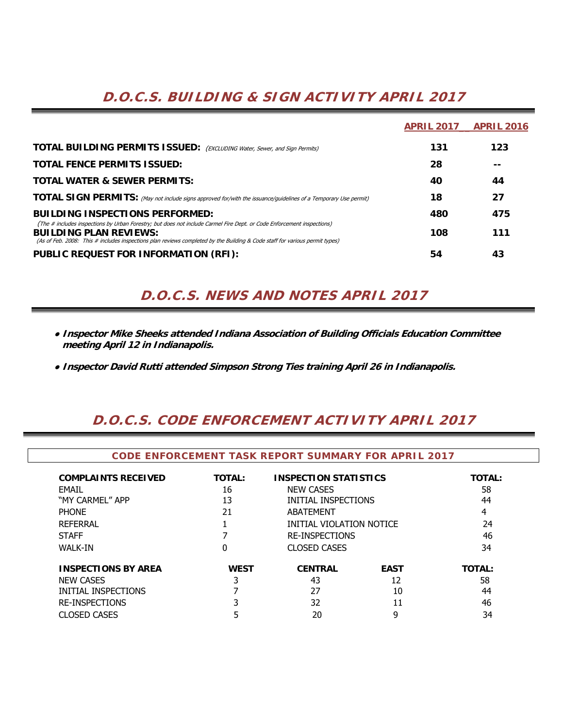# **D.O.C.S. BUILDING & SIGN ACTIVITY APRIL 2017**

|                                                                                                                                                                                                                                                                                        | <b>APRIL 2017</b> | <b>APRIL 2016</b> |
|----------------------------------------------------------------------------------------------------------------------------------------------------------------------------------------------------------------------------------------------------------------------------------------|-------------------|-------------------|
| <b>TOTAL BUILDING PERMITS ISSUED:</b> (EXCLUDING Water, Sewer, and Sign Permits)                                                                                                                                                                                                       | 131               | 123               |
| <b>TOTAL FENCE PERMITS ISSUED:</b>                                                                                                                                                                                                                                                     | 28                | --                |
| <b>TOTAL WATER &amp; SEWER PERMITS:</b>                                                                                                                                                                                                                                                | 40                | 44                |
| TOTAL SIGN PERMITS: (May not include signs approved for/with the issuance/guidelines of a Temporary Use permit)                                                                                                                                                                        | 18                | 27                |
| <b>BUILDING INSPECTIONS PERFORMED:</b>                                                                                                                                                                                                                                                 | 480               | 475               |
| (The # includes inspections by Urban Forestry; but does not include Carmel Fire Dept. or Code Enforcement inspections)<br><b>BUILDING PLAN REVIEWS:</b><br>(As of Feb. 2008: This # includes inspections plan reviews completed by the Building & Code staff for various permit types) | 108               | 111               |
| PUBLIC REQUEST FOR INFORMATION (RFI):                                                                                                                                                                                                                                                  | 54                | 43                |

## **D.O.C.S. NEWS AND NOTES APRIL 2017**

- **Inspector Mike Sheeks attended Indiana Association of Building Officials Education Committee meeting April 12 in Indianapolis.**
- **Inspector David Rutti attended Simpson Strong Ties training April 26 in Indianapolis.**

## **D.O.C.S. CODE ENFORCEMENT ACTIVITY APRIL 2017**

| <b>CODE ENFORCEMENT TASK REPORT SUMMARY FOR APRIL 2017</b> |               |                              |             |               |  |  |  |  |  |  |  |  |  |
|------------------------------------------------------------|---------------|------------------------------|-------------|---------------|--|--|--|--|--|--|--|--|--|
| <b>COMPLAINTS RECEIVED</b>                                 | <b>TOTAL:</b> | <b>INSPECTION STATISTICS</b> |             | <b>TOTAL:</b> |  |  |  |  |  |  |  |  |  |
| FMAIL                                                      | 16            | <b>NEW CASES</b>             |             | 58            |  |  |  |  |  |  |  |  |  |
| "MY CARMEL" APP                                            | 13            | INITIAL INSPECTIONS          |             | 44            |  |  |  |  |  |  |  |  |  |
| <b>PHONE</b>                                               | 21            | <b>ABATEMENT</b>             |             | 4             |  |  |  |  |  |  |  |  |  |
| <b>REFERRAL</b>                                            |               | INITIAL VIOLATION NOTICE     |             | 24            |  |  |  |  |  |  |  |  |  |
| <b>STAFF</b>                                               |               | <b>RE-INSPECTIONS</b>        |             | 46            |  |  |  |  |  |  |  |  |  |
| <b>WALK-IN</b>                                             | 0             | <b>CLOSED CASES</b>          |             | 34            |  |  |  |  |  |  |  |  |  |
| <b>INSPECTIONS BY AREA</b>                                 | <b>WEST</b>   | <b>CENTRAL</b>               | <b>EAST</b> | <b>TOTAL:</b> |  |  |  |  |  |  |  |  |  |
| <b>NEW CASES</b>                                           |               | 43                           | 12          | 58            |  |  |  |  |  |  |  |  |  |
| INITIAL INSPECTIONS                                        |               | 27                           | 10          | 44            |  |  |  |  |  |  |  |  |  |
| <b>RE-INSPECTIONS</b>                                      |               | 32                           | 11          | 46            |  |  |  |  |  |  |  |  |  |
| <b>CLOSED CASES</b>                                        |               | 20                           | 9           | 34            |  |  |  |  |  |  |  |  |  |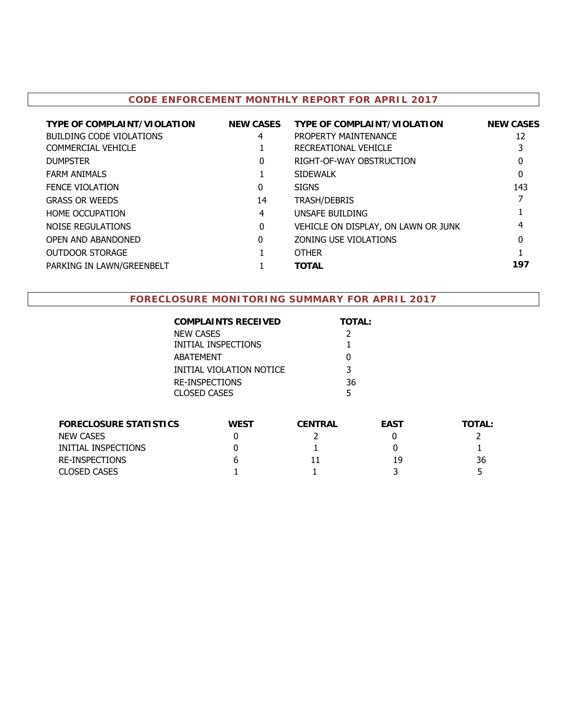### **CODE ENFORCEMENT MONTHLY REPORT FOR APRIL 2017**

| <b>TYPE OF COMPLAINT/VIOLATION</b> | <b>NEW CASES</b> | <b>TYPE OF COMPLAINT/VIOLATION</b>  | <b>NEW CASES</b> |
|------------------------------------|------------------|-------------------------------------|------------------|
| <b>BUILDING CODE VIOLATIONS</b>    | 4                | PROPERTY MAINTENANCE                | 12               |
| COMMERCIAL VEHICLE                 |                  | RECREATIONAL VEHICLE                |                  |
| <b>DUMPSTER</b>                    | 0                | RIGHT-OF-WAY OBSTRUCTION            | 0                |
| <b>FARM ANIMALS</b>                |                  | SIDEWALK                            | 0                |
| <b>FENCE VIOLATION</b>             | 0                | <b>SIGNS</b>                        | 143              |
| <b>GRASS OR WEEDS</b>              | 14               | <b>TRASH/DEBRIS</b>                 |                  |
| HOME OCCUPATION                    | 4                | UNSAFE BUILDING                     |                  |
| <b>NOISE REGULATIONS</b>           | $\Omega$         | VEHICLE ON DISPLAY, ON LAWN OR JUNK | 4                |
| OPEN AND ABANDONED                 | 0                | <b>ZONING USE VIOLATIONS</b>        | 0                |
| <b>OUTDOOR STORAGE</b>             |                  | <b>OTHER</b>                        |                  |
| PARKING IN LAWN/GREENBELT          |                  | <b>TOTAL</b>                        | 197              |

### **FORECLOSURE MONITORING SUMMARY FOR APRIL 2017**

| <b>COMPLAINTS RECEIVED</b>                   | <b>TOTAL:</b> |
|----------------------------------------------|---------------|
| <b>NEW CASES</b>                             | 2             |
| INITIAL INSPECTIONS                          |               |
| <b>ABATFMFNT</b>                             |               |
| INITIAL VIOLATION NOTICE                     | 3             |
| <b>RE-INSPECTIONS</b><br><b>CLOSED CASES</b> | 36<br>5       |
|                                              |               |

| <b>FORECLOSURE STATISTICS</b> | <b>WEST</b> | <b>CENTRAL</b> | <b>EAST</b> | <b>TOTAL:</b> |
|-------------------------------|-------------|----------------|-------------|---------------|
| NEW CASES                     |             |                |             |               |
| INITIAL INSPECTIONS           |             |                |             |               |
| RE-INSPECTIONS                |             |                | 19          | 36            |
| <b>CLOSED CASES</b>           |             |                |             |               |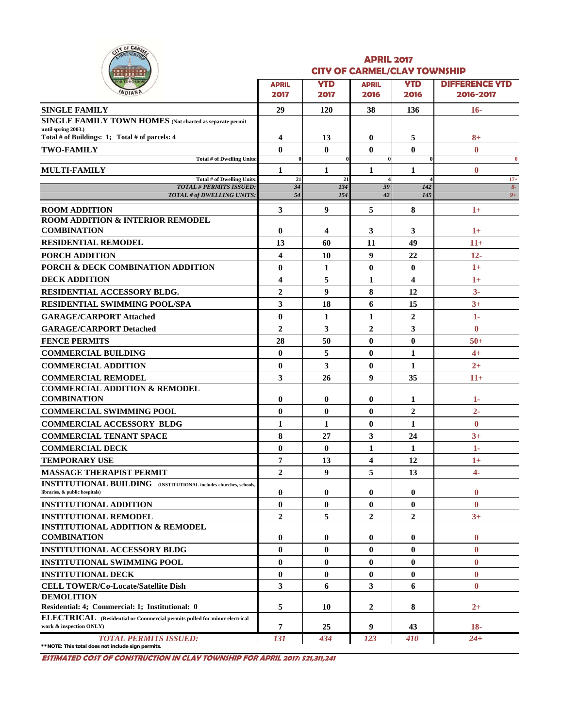|  | OF CARMEL |  |
|--|-----------|--|
|  |           |  |
|  |           |  |

#### **APRIL 2017 CITY OF CARMEL/CLAY TOWNSHIP**

| <u>.</u>                                                                                                    |                         |                    |                      |                    |                                    |
|-------------------------------------------------------------------------------------------------------------|-------------------------|--------------------|----------------------|--------------------|------------------------------------|
| <b>OR TOMORROW</b><br>WDIAND                                                                                | <b>APRIL</b><br>2017    | <b>YTD</b><br>2017 | <b>APRIL</b><br>2016 | <b>YTD</b><br>2016 | <b>DIFFERENCE YTD</b><br>2016-2017 |
| <b>SINGLE FAMILY</b>                                                                                        | 29                      | <b>120</b>         | 38                   | 136                | $16-$                              |
| <b>SINGLE FAMILY TOWN HOMES</b> (Not charted as separate permit                                             |                         |                    |                      |                    |                                    |
| until spring 2003.)                                                                                         |                         |                    |                      |                    |                                    |
| Total # of Buildings: 1; Total # of parcels: 4                                                              | $\overline{\mathbf{4}}$ | 13                 | $\bf{0}$             | 5                  | $8+$                               |
| <b>TWO-FAMILY</b><br>Total # of Dwelling Units:                                                             | $\bf{0}$<br>$\bf{0}$    | $\bf{0}$           | $\bf{0}$<br>$\bf{0}$ | $\bf{0}$           | $\bf{0}$<br>$\bf{0}$               |
| <b>MULTI-FAMILY</b>                                                                                         | 1                       | 1                  | 1                    | 1                  | $\bf{0}$                           |
| Total # of Dwelling Units:                                                                                  | 21                      | 21                 |                      |                    | $17+$                              |
| <b>TOTAL # PERMITS ISSUED:</b><br>TOTAL # of DWELLING UNITS:                                                | 34<br>54                | 134<br>154         | 39<br>42             | 142<br>145         | $8-$<br>$9+$                       |
|                                                                                                             |                         |                    |                      |                    |                                    |
| <b>ROOM ADDITION</b><br><b>ROOM ADDITION &amp; INTERIOR REMODEL</b>                                         | 3                       | 9                  | 5                    | 8                  | $1+$                               |
| <b>COMBINATION</b>                                                                                          | $\bf{0}$                | 4                  | 3                    | 3                  | $1+$                               |
| <b>RESIDENTIAL REMODEL</b>                                                                                  | 13                      | 60                 | 11                   | 49                 | $11+$                              |
| PORCH ADDITION                                                                                              | $\overline{\mathbf{4}}$ | 10                 | 9                    | 22                 | $12 -$                             |
| PORCH & DECK COMBINATION ADDITION                                                                           | $\bf{0}$                | 1                  | $\bf{0}$             | $\bf{0}$           | $1+$                               |
| <b>DECK ADDITION</b>                                                                                        | 4                       | 5                  | 1                    | 4                  | $1+$                               |
| RESIDENTIAL ACCESSORY BLDG.                                                                                 | $\overline{2}$          | 9                  | 8                    | 12                 | $3-$                               |
| <b>RESIDENTIAL SWIMMING POOL/SPA</b>                                                                        | 3                       | 18                 | 6                    | 15                 | $3+$                               |
|                                                                                                             | $\bf{0}$                |                    | 1                    | $\overline{2}$     |                                    |
| <b>GARAGE/CARPORT Attached</b>                                                                              | $\overline{2}$          | 1<br>3             | $\overline{2}$       | 3                  | 1-<br>$\bf{0}$                     |
| <b>GARAGE/CARPORT Detached</b>                                                                              |                         |                    |                      |                    |                                    |
| <b>FENCE PERMITS</b>                                                                                        | 28                      | 50                 | $\bf{0}$             | $\bf{0}$           | $50+$                              |
| <b>COMMERCIAL BUILDING</b>                                                                                  | $\bf{0}$                | 5                  | $\bf{0}$             | 1                  | $4+$                               |
| <b>COMMERCIAL ADDITION</b>                                                                                  | $\bf{0}$                | 3                  | $\bf{0}$             | 1                  | $2+$                               |
| <b>COMMERCIAL REMODEL</b>                                                                                   | 3                       | 26                 | 9                    | 35                 | $11+$                              |
| <b>COMMERCIAL ADDITION &amp; REMODEL</b><br><b>COMBINATION</b>                                              | $\bf{0}$                | $\bf{0}$           | 0                    | 1                  | 1-                                 |
| <b>COMMERCIAL SWIMMING POOL</b>                                                                             | $\mathbf{0}$            | $\bf{0}$           | $\mathbf{0}$         | $\overline{2}$     | $2 -$                              |
| <b>COMMERCIAL ACCESSORY BLDG</b>                                                                            | $\mathbf{1}$            | 1                  | $\bf{0}$             | 1                  | $\bf{0}$                           |
| <b>COMMERCIAL TENANT SPACE</b>                                                                              | 8                       | 27                 | 3                    | 24                 | $3+$                               |
| <b>COMMERCIAL DECK</b>                                                                                      | $\bf{0}$                | $\bf{0}$           | 1                    | 1                  | 1-                                 |
| <b>TEMPORARY USE</b>                                                                                        | 7                       | 13                 | 4                    | 12                 | $1+$                               |
| <b>MASSAGE THERAPIST PERMIT</b>                                                                             | $\overline{2}$          | 9                  | 5                    | 13                 | $\overline{4}$                     |
| <b>INSTITUTIONAL BUILDING</b> (INSTITUTIONAL includes churches, schools,                                    |                         |                    |                      |                    |                                    |
| libraries, & public hospitals)                                                                              | $\bf{0}$                | $\bf{0}$           | $\bf{0}$             | 0                  | $\bf{0}$                           |
| <b>INSTITUTIONAL ADDITION</b>                                                                               | $\bf{0}$                | $\bf{0}$           | $\mathbf{0}$         | $\bf{0}$           | $\mathbf{0}$                       |
| <b>INSTITUTIONAL REMODEL</b>                                                                                | $\boldsymbol{2}$        | 5                  | $\overline{2}$       | $\overline{2}$     | $3+$                               |
| <b>INSTITUTIONAL ADDITION &amp; REMODEL</b>                                                                 |                         |                    |                      |                    |                                    |
| <b>COMBINATION</b>                                                                                          | $\bf{0}$                | $\bf{0}$           | $\bf{0}$             | $\bf{0}$           | $\bf{0}$                           |
| <b>INSTITUTIONAL ACCESSORY BLDG</b>                                                                         | $\bf{0}$                | 0                  | $\mathbf{0}$         | 0                  | $\mathbf{0}$                       |
| <b>INSTITUTIONAL SWIMMING POOL</b>                                                                          | $\bf{0}$                | $\bf{0}$           | 0                    | $\bf{0}$           | $\bf{0}$                           |
| <b>INSTITUTIONAL DECK</b>                                                                                   | $\bf{0}$                | $\bf{0}$           | 0                    | $\bf{0}$           | $\bf{0}$                           |
| <b>CELL TOWER/Co-Locate/Satellite Dish</b>                                                                  | 3                       | 6                  | 3                    | 6                  | $\bf{0}$                           |
| <b>DEMOLITION</b>                                                                                           |                         |                    |                      |                    |                                    |
| Residential: 4; Commercial: 1; Institutional: 0                                                             | 5                       | 10                 | 2                    | 8                  | $^{2+}$                            |
| <b>ELECTRICAL</b> (Residential or Commercial permits pulled for minor electrical<br>work & inspection ONLY) | 7                       | 25                 | 9                    | 43                 | $18 -$                             |
| <b>TOTAL PERMITS ISSUED:</b><br>** NOTE: This total does not include sign permits.                          | 131                     | 434                | 123                  | 410                | $24 +$                             |

**ESTIMATED COST OF CONSTRUCTION IN CLAY TOWNSHIP FOR APRIL 2017: \$21,311,241**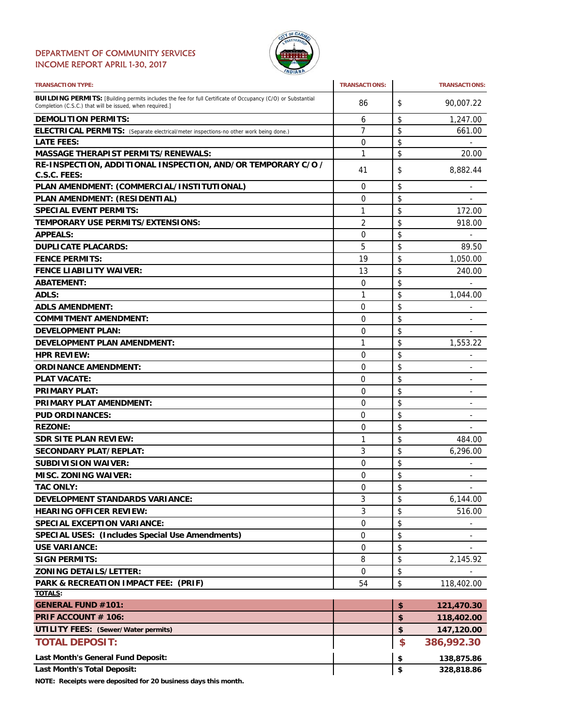#### DEPARTMENT OF COMMUNITY SERVICES INCOME REPORT APRIL 1-30, 2017



| <b>TRANSACTION TYPE:</b>                                                                                                                                                       | <b>TRANSACTIONS:</b> | <b>TRANSACTIONS:</b>               |
|--------------------------------------------------------------------------------------------------------------------------------------------------------------------------------|----------------------|------------------------------------|
| <b>BUILDING PERMITS:</b> [Building permits includes the fee for full Certificate of Occupancy (C/O) or Substantial<br>Completion (C.S.C.) that will be issued, when required.] | 86                   | \$<br>90,007.22                    |
| <b>DEMOLITION PERMITS:</b>                                                                                                                                                     | 6                    | \$<br>1,247.00                     |
| ELECTRICAL PERMITS: (Separate electrical/meter inspections-no other work being done.)                                                                                          | 7                    | \$<br>661.00                       |
| <b>LATE FEES:</b>                                                                                                                                                              | $\Omega$             | \$                                 |
| <b>MASSAGE THERAPIST PERMITS/RENEWALS:</b>                                                                                                                                     | 1                    | \$<br>20.00                        |
| RE-INSPECTION, ADDITIONAL INSPECTION, AND/OR TEMPORARY C/O /                                                                                                                   | 41                   | \$<br>8,882.44                     |
| C.S.C. FEES:                                                                                                                                                                   |                      |                                    |
| PLAN AMENDMENT: (COMMERCIAL/INSTITUTIONAL)                                                                                                                                     | $\Omega$             | \$                                 |
| PLAN AMENDMENT: (RESIDENTIAL)                                                                                                                                                  | 0                    | \$                                 |
| <b>SPECIAL EVENT PERMITS:</b>                                                                                                                                                  | 1                    | \$<br>172.00                       |
| <b>TEMPORARY USE PERMITS/EXTENSIONS:</b>                                                                                                                                       | $\overline{2}$       | \$<br>918.00                       |
| <b>APPEALS:</b>                                                                                                                                                                | 0                    | \$<br>$\overline{\phantom{0}}$     |
| <b>DUPLICATE PLACARDS:</b>                                                                                                                                                     | 5                    | \$<br>89.50                        |
| <b>FENCE PERMITS:</b>                                                                                                                                                          | 19                   | \$<br>1,050.00                     |
| <b>FENCE LIABILITY WAIVER:</b>                                                                                                                                                 | 13                   | \$<br>240.00                       |
| <b>ABATEMENT:</b>                                                                                                                                                              | 0                    | \$                                 |
| ADLS:                                                                                                                                                                          | 1                    | \$<br>1,044.00                     |
| <b>ADLS AMENDMENT:</b>                                                                                                                                                         | 0                    | \$<br>$\qquad \qquad \blacksquare$ |
| <b>COMMITMENT AMENDMENT:</b>                                                                                                                                                   | $\Omega$             | \$                                 |
| <b>DEVELOPMENT PLAN:</b>                                                                                                                                                       | 0                    | \$                                 |
| DEVELOPMENT PLAN AMENDMENT:                                                                                                                                                    | 1                    | \$<br>1,553.22                     |
| <b>HPR REVIEW:</b>                                                                                                                                                             | 0                    |                                    |
|                                                                                                                                                                                |                      | \$<br>$\overline{\phantom{0}}$     |
| <b>ORDINANCE AMENDMENT:</b>                                                                                                                                                    | 0                    | \$<br>$\overline{\phantom{0}}$     |
| <b>PLAT VACATE:</b>                                                                                                                                                            | 0                    | \$<br>٠                            |
| <b>PRIMARY PLAT:</b>                                                                                                                                                           | 0                    | \$                                 |
| <b>PRIMARY PLAT AMENDMENT:</b>                                                                                                                                                 | 0                    | \$<br>$\qquad \qquad \blacksquare$ |
| <b>PUD ORDINANCES:</b>                                                                                                                                                         | 0                    | \$                                 |
| <b>REZONE:</b>                                                                                                                                                                 | 0                    | \$                                 |
| <b>SDR SITE PLAN REVIEW:</b>                                                                                                                                                   | 1                    | \$<br>484.00                       |
| <b>SECONDARY PLAT/REPLAT:</b>                                                                                                                                                  | 3                    | \$<br>6,296.00                     |
| <b>SUBDIVISION WAIVER:</b>                                                                                                                                                     | 0                    | \$                                 |
| <b>MISC. ZONING WAIVER:</b>                                                                                                                                                    | 0                    | \$                                 |
| <b>TAC ONLY:</b>                                                                                                                                                               | $\Omega$             | \$                                 |
| <b>DEVELOPMENT STANDARDS VARIANCE:</b>                                                                                                                                         | 3                    | \$<br>6,144.00                     |
| <b>HEARING OFFICER REVIEW:</b>                                                                                                                                                 | 3                    | \$<br>516.00                       |
| <b>SPECIAL EXCEPTION VARIANCE:</b>                                                                                                                                             | 0                    | \$                                 |
| <b>SPECIAL USES: (Includes Special Use Amendments)</b>                                                                                                                         | 0                    | \$                                 |
| <b>USE VARIANCE:</b>                                                                                                                                                           | 0                    | \$                                 |
| <b>SIGN PERMITS:</b>                                                                                                                                                           | 8                    | \$<br>2,145.92                     |
| <b>ZONING DETAILS/LETTER:</b>                                                                                                                                                  | 0                    | \$                                 |
| PARK & RECREATION IMPACT FEE: (PRIF)                                                                                                                                           | 54                   | \$<br>118,402.00                   |
| TOTALS:                                                                                                                                                                        |                      |                                    |
| <b>GENERAL FUND #101:</b>                                                                                                                                                      |                      | \$<br>121,470.30                   |
| PRIF ACCOUNT # 106:                                                                                                                                                            |                      | \$<br>118,402.00                   |
| <b>UTILITY FEES: (Sewer/Water permits)</b>                                                                                                                                     |                      | \$<br>147,120.00                   |
| <b>TOTAL DEPOSIT:</b>                                                                                                                                                          |                      | \$<br>386,992.30                   |
| Last Month's General Fund Deposit:                                                                                                                                             |                      | \$<br>138,875.86                   |
| <b>Last Month's Total Deposit:</b>                                                                                                                                             |                      | \$<br>328,818.86                   |

**NOTE: Receipts were deposited for 20 business days this month.**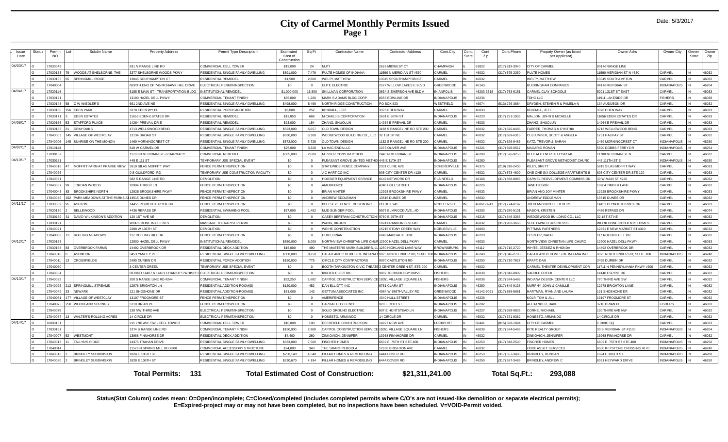#### **City of Carmel Monthly Permits Issued Page 1**

| Issue<br>Date | Status | Permi<br><b>NO</b> | Subdiv Name                                 | <b>Property Address</b>                | Permit Type Description             | Estimated<br>Cost of<br>Construction | Sq Ft    | Contractor Name                                          | <b>Contractor Address</b>    | Cont.City           | Cont.<br><b>State</b> | Cont<br>Zip  | Cont.Phone    | Propety Owner (as listed<br>per applicant) | Owner Adrs                     | Owner City          | Owner<br>State | Owner<br>Zip |
|---------------|--------|--------------------|---------------------------------------------|----------------------------------------|-------------------------------------|--------------------------------------|----------|----------------------------------------------------------|------------------------------|---------------------|-----------------------|--------------|---------------|--------------------------------------------|--------------------------------|---------------------|----------------|--------------|
| 04/03/17      |        | 7030049            |                                             | 931 N RANGE LINE RD                    | COMMERCIAL CELL TOWER               | \$19,000                             | 24       | MLITI                                                    | 2626 MIDWEST CT              | CHAMPAIGN           |                       | \$1822       | 217) 819-3040 | CITY OF CARMEL                             | 901 N RANGE LINE               |                     |                |              |
|               |        | 7030153            | WOODS AT SHELBORNE. THE                     | 3377 SHELBORNE WOODS PKWY              | RESIDENTIAL SINGLE FAMILY DWELLING  | \$591,000                            | 7.479    | PULTE HOMES OF INDIANA                                   | 11590 N MERIDIAN ST #530     | CARMEL              |                       | 46032        | 317) 575-2350 | PULTE HOMES                                | 1590 MERIDIAN ST N #530        | <b>CARMEL</b>       |                | 46032        |
|               |        | 7030165            | SPRINGMILL RIDGE                            | 3045 SOUTHAMPTON CT                    | RESIDENTIAL REMODEL                 | \$1,500                              | 2.800    | <b>WELTY, MATTHEW</b>                                    | 13045 SPOUTHAMPTON CT        | <b>ARMEL</b>        |                       | <b>CENAL</b> |               | <b>WELTY, MATTHEW</b>                      | <b>13045 SOUTHAMPTON</b>       | CARMEL              |                | 46032        |
|               |        | 7040004            |                                             | NORTH END OF 745 MOHAWK HILL DRIV      | LECTRICAL PERMIT/INSPECTION         | \$0                                  |          | <b>ELITE ELECTRIC</b>                                    | 2577 WILLOW LAKES E BLVD     | <b>GREENWOOD</b>    |                       | 16143        |               | <b>BUCKINGHAM COMPANIES</b>                | 941 N MERIDIAN ST              | <b>NDIANAPOLIS</b>  |                | 46204        |
| 04/04/17      |        | 7030114            |                                             | 5185 E MAIN ST - TRANSPORTATION BLDG   | INSTITUTIONAL REMODEL               | \$1,000,000                          | 16,800   | SKILLMAN CORPORATION                                     | 3834 S EMERSON AVE BLD A     | <b>NIANPOLIS</b>    |                       | 6203-3518    | 317) 783-6151 | CARMEL CLAY SCHOOLS                        | 5201 131ST ST EAST             | CARMEL              |                | 46033        |
|               |        | 7030121            |                                             | 3190 HAZEL DELL PKWY                   | OMMERCIAL TENANT FINISH             | \$85,000                             | 1,206    | MARK S ADAMS BLDG CORP                                   | 8058 BOWLINE DR              | <b>INDIANAPOLIS</b> |                       | 16236        |               | TDHC LLC                                   | 11911 LAKESIDE DR              | <b>ISHERS</b>       |                | 46038        |
|               |        | 7030143            | C W WIEDLER'S                               | 661 2ND AVE NE                         | RESIDENTIAL SINGLE FAMILY DWELLING  | \$498,000                            | 5.466    | NORTH RIDGE CONSTRUCTION                                 | PO BOX 823                   | WESTFIELD           |                       | 16074        | 13) 276-3684  | DRYDEN, STEVEN R & PAMELA N                | <b>34 AUDUBON DR</b>           | <b>CARMEL</b>       |                | 46032        |
|               |        | 7030160            | <b>EDEN PARK</b>                            | 3378 EDEN WY PL                        | <b>ESIDENTIAL PORCH ADDITION</b>    | \$3,000                              | 252      | KENDALL, JEFF                                            | 3378 EDEN WAY                | <b>ARMEL</b>        |                       | 16033        |               | KENDALL, JEFF                              | 3378 EDEN WAY                  | CARMEL              |                | 46033        |
|               |        | 703017             | <b>EDEN ESTATES</b>                         | 1656 EDEN ESTATES DR                   | RESIDENTIAL REMODE                  | \$13,853                             | 668      | MICHAELIS CORPORATION                                    | 2601 E 56TH ST               | <b>INDIANAPOLIS</b> |                       | 16220        | 317) 251-1935 | MALLON, JOHN & MICHELLE                    | 1656 EDEN ESTATES DR           | CARMEL              |                | 46033        |
| 04/06/17      |        | 7030166            | <b>STAFFORD PLACE</b>                       | 4264 PREVAIL DR E                      | RESIDENTIAL REMODEI                 | \$23,000                             | 154      | HANG, SHUOLUN                                            | 14264 E PREVAIL DR           | ARMEI               |                       | 16033        |               | ZHANG, SHUOLUN                             | 4264 E PREVAIL DR              | CARMEL              |                | 46033        |
|               |        | 7030183            | <b>GRAY OAKS</b>                            | 4713 WELLSWOOD BEND                    | RESIDENTIAL SINGLE FAMILY DWELLING  | \$523,000                            | 5.657    | OLD TOWN DESIGN                                          | 1132 S RANGELINE RD STE 200  | CARMEL              |                       | 16032        | 317) 626-8486 | <b>FARRER, THOMAS &amp; CYNTHIA</b>        | 4713 WELLSWOOD BEND            | CARMEI              |                | 46033        |
|               |        | 7040003            | <b>ILLAGE OF WESTCLAY</b>                   | 13134 BROAD ST                         | RESIDENTIAL SINGLE FAMILY DWELLING  | \$830,000                            | 8.300    | EDGEWOOD BUILDING CO., LLC 32 1ST ST NE                  |                              | <b>CARMEL</b>       |                       | 16032        | 317) 669-6315 | CULLUMBER, SCOTT & ANGELA                  | <b>1751 HALIFAX ST</b>         | <b>ARMEL</b>        |                | 46032        |
|               |        | 7040006            | SUNRISE ON THE MONON                        | 1469 MORNINGCREST CT                   | RESIDENTIAL SINGLE FAMILY DWELLING  | \$572,000                            | 5,728    | <b>DLD TOWN DESIGN</b>                                   | 1132 S RANGELINE RD STE 200  | <b>CARMEL</b>       |                       | 46032        | 317) 626-8486 | KATZ, TREVOR & SARAH                       | 469 MORNINGCREST CT            | <b>INDIANAPOLIS</b> |                | 46280        |
| 04/07/17      |        | 7010113            |                                             | <b>819 W CARMEL DR</b>                 | OMMERCIAL TENANT FINISH             | \$25,000                             | 3.328    | <b>HACIENDA LLC</b>                                      | 1073 OLIVER AVE              | <b>INDIANAPOLIS</b> |                       | 46221        | 317) 698-0517 | <b>MACARIO ROMAN</b>                       | 690 DOBBS FERRY DR             | <b>INDIANAPOLIS</b> |                | 46254        |
|               |        | 7030162            |                                             | 1700 N MERIDIAN ST - PHARMACY          | OMMERCIAL REMODEL                   | \$585,000                            | 2.600    | <b>IESSER CONSTRUCTION</b>                               | 2445 N MERIDIAN ST           | <b>INDIANAPOLIS</b> |                       | 46208        | 317) 576-9250 | IU HEALTH NORTH HOSPITAL                   | 11700 MERIDIAN ST N            | CARMEL              |                | 46032        |
| 04/10/17      |        | 7030181            |                                             | 445 E 111 ST                           | EMPORARY USE SPECIAL EVENT          | SO.                                  |          | PLEASANT GROVE UNITED METHOL 445 E 11TH ST               |                              | <b>INDIANAPOLIS</b> |                       | 16280        |               | PLEASANT GROVE METHODIST CHURC             | 445 111TH ST I                 | <b>NDIANAPOLIS</b>  |                | 46280        |
|               |        | 7040018            | MOFFITT FARM AT PRAIRIE VIEW                | 5919 SILAS MOFFITT WAY                 | ENCE PERMIT/INSPECTION              | \$0                                  |          | <b>STATEWIDE FENCE COMPANY</b>                           | 2301 CLINE AVE               | SCHERERVILLE        |                       | 16375        | 219) 318-2400 | KILEY, BRETT                               | <b>5919 SILAS MOFFIT WAY</b>   | <b>CARMEL</b>       |                | 46033        |
|               |        | 7040026            |                                             | S GUILDFORD RD                         | EMPORARY USE CONSTRUCTION FACILITY  | \$0                                  |          | C HART CO INC                                            | 805 CITY CENTER DR #120      | <b>ARMEL</b>        |                       | 6032         | 317) 573-4800 | ONE ONE SIX COLLEGE APARTMENTS I           | 305 CITY CENTER DR STE 120     | CARMEL              |                | 46033        |
|               |        | 7040031            |                                             | 582 S RANGE LINE RD                    | DEMOLITION                          | \$0                                  |          | HOOSIER EQUIPMENT SERVICE                                | 8149 NETWORK DF              | <b>LAINFIELD</b>    |                       | 16168        | 317) 838-8988 | CARMEL REDVELOPMENT COMMISSION             | 30 W MAIN ST #220              | CARMEL              |                | 46032        |
|               |        | 7040037            | JORDAN WOODS                                | 0904 TIMBER LN                         | ENCE PERMIT/INSPECTION              | \$0                                  |          | <b>MERIFENCE</b>                                         | 4340 HULL STREE <sup>-</sup> | <b>INDIANAPOLIS</b> |                       | 16226        |               | <b>JANET KISOR</b>                         | 10904 TIMBER LANE              | CARMEL              |                | 46032        |
|               |        | 7040043            | <b>BROOKSHIRE NORTH</b>                     | 12928 BROOKSHIRE PKWY                  | <b>ENCE PERMIT/INSPECTION</b>       | \$0                                  |          | <b>BRIAN MINTER</b>                                      | 12928 BROOKSHIRE PKWY        | CARMEL              |                       | 16033        |               | BRIAN AND JOY MINTER                       | <b>12928 BROOKSHIRE PKWY</b>   | CARMEL              |                | 46033        |
|               |        | 704004             | PARK MEADOWS AT THE PARKS AT 13515 DUNES DR |                                        | <b>ENCE PERMIT/INSPECTION</b>       | \$0                                  |          | ANDREW EDDLEMAN                                          | 13515 DUNES DR               | CARMEL              |                       | 16032        |               | ANDREW EDDLEMAN                            | 3515 DUNES DR                  | <b>CARMEL</b>       |                | 46032        |
| 04/11/17      |        | 7030069            | <b>ASHTON</b>                               | 4451 PLYMOUTH ROCK DR                  | <b>ENCE PERMIT/INSPECTION</b>       | SO.                                  |          | BULLSEYE FENCE DESIGN INC.                               | PO BOX 941                   | NOBLESVILLE         |                       | 6061-0941    | 317) 774-0197 | JOHN AND NICOLE HEBERT                     | <b>4451 PLYMOUTH ROCK DR</b>   | CARMEL              |                | 46033        |
|               |        | 7030130            | <b>BELLEWOOD</b>                            | 4436 REPASS DR                         | RESIDENTIAL SWIMMING POOL           | \$57,000                             | 1.452    | MUD SLINGER POOL                                         | 5575 ELMWOOD AVE., #D        | <b>INDIANAPOLIS</b> |                       | 46203        | 317) 650-5131 | <b>MASON, KRISTEN</b>                      | 4436 REPASS DR                 | CARMEL              |                | 46074        |
|               |        | 7030159            | DAVID WILKINSON'S ADDITION                  | 120 1ST AVE NE                         | DEMOLITION                          | SO                                   |          | CASEY-BERTRAM CONSTRUCTION 5780 E 25TH ST                |                              | <b>INDIANAPOLIS</b> |                       | 16218        | 317) 546-3366 | WEDGEWOOD BUILDING CO., LLC                | 32 1ST ST NE                   | <b>ARMEL</b>        |                | 46032        |
|               |        | 7030191            |                                             | <b>VORK DONE IN CLIENTS</b>            | MASSAGE THERAPIST PERMIT            | \$0                                  | $\Omega$ | WANG, XIUJUN                                             | 1924 FRANKLIN BLVD #C        | <b>ARMEI</b>        |                       | 46032        | 317) 902-3668 | SELF OWNED BUSINESSS                       | VORK DONE IN CLIENTS HOMES     | CARMEL              |                | 46032        |
|               |        | 7040021            |                                             | 2288 W 136TH ST                        | EMOLITION                           | \$0                                  |          | WEIHE CONSTRUCTION                                       | 15215 STONY CREEK WAY        | NOBLESVILLE         |                       | 03061        |               | PITTMAN PARTNERS                           | 12821 E NEW MARKET ST #310     | ARMFI:              |                | 46032        |
|               |        | 7040053            | <b>ROLLING MEADOWS</b>                      | 17 ROLLING HILL DR                     | <b>ENCE PERMIT/INSPECTION</b>       | \$0                                  | $\Omega$ | <b>HURT, BRIAN</b>                                       | 6046 MARGAUX LANE            | <b>INDIANAPOLIS</b> |                       | 16220        |               | TESZLER, NATALI                            | 117 ROLLING HILL DR            | <b>ARMEL</b>        |                | 46032        |
| 04/12/17      |        | 7030163            |                                             | 2900 HAZEL DELL PKW                    | <b>INSTITUTIONAL REMODEL</b>        | \$550,000                            | 6.000    | NORTHVIEW CHRISITAN LIFE CHUR 12900 HAZEL DELL PKWY      |                              | CARMEL              |                       | 16033        |               | NORTHVIEW CHRISTIAN LIFE CHURC             | 12900 HAZEL DELL PKWY          | CARMEL              |                | 46033        |
|               |        | 7030168            | <b>OVERBROOK FARMS</b>                      | 4492 OVERBROOK DR                      | RESIDENTIAL DECK ADDITION           | \$15,000                             | 490      | THE MASTERS MARK BUILDERS,                               | LL 1250 HIGHLAND LAKE WAY    | <b>BROWNSBURG</b>   |                       | 16112        | 317) 710-2720 | WHITE, JESSEZ & RHONDA                     | 4492 OVERBROOK DR              | CARMEL              |                | 46032        |
|               |        | 7040010            | <b>ASHMOOR</b>                              | 3453 YANCEY P                          | RESIDENTIAL SINGLE FAMILY DWELLING  | \$300,000                            | 8,250    | ALATLANTIC HOMES OF INDIAN                               | 9025 NORTH RIVER RD, SUITE   | <b>INDIANAPOLIS</b> |                       | 16240        | 317) 846-2783 | CALATLANTIC HOMES OF INDIANA INC           | 0025 NORTH RIVER RD, SUITE 100 | <b>INDIANAPOLIS</b> |                | 46240        |
|               |        | 7040011            | CROSSFIELDS                                 | 2495 DURBIN DR                         | RESIDENTIAL PORCH ADDITION          | \$150,000                            | 775      | CIRCLE CITY CONTRACTORS                                  | 8070 CASTLETON RD            | <b>INDIANAPOLIS</b> |                       | 46250        | 317) 710-7827 | <b>KRAFT, DAN</b>                          | 2495 DURBIN DR                 | <b>CARMEL</b>       |                | 46032        |
|               |        | 7040060            |                                             | 3 CENTER GREEN                         | <b>EMPORARY USE SPECIAL EVENT</b>   | SO.                                  | $\Omega$ | BOOTH TARKINGTON CIVIC THEATE 3 CENTER GREEN ST, STE 200 |                              | CARMEL              |                       | 46032        |               | CARMEL THEATER DEVELOPMENT COR             | 11711 N PENNSYLVANIA PKWY #200 | CARMEL              |                | 46032        |
|               |        | 7040064            |                                             | BEHIND 14407 & 14401 CHARIOT'S WHISPEF | ELECTRICAL PERMIT/INSPECTION        | \$0                                  |          | KINDER ELECTRIC                                          | 9087 TECHNOLOGY DRIVE        | <b>ISHERS</b>       |                       | 46038        | 317) 842-0809 | SADDLE CREEK                               | 4140 ESPIRIT DR                | CARMEL              |                | 46032        |
| 04/13/17      |        | 7040022            |                                             | 200 S RANGE LINE RD #244               | OMMERCIAL TENANT FINISH             | \$32,250                             | 1,682    | CAPITOL CONSTRUCTION SERVICE 11051 VILLAGE SQUARE LN     |                              | <b>ISHERS</b>       |                       | 46038        | 317) 574-5488 | INDIANA DESIGN CENTER LLC                  | 770 THIRD AVE SW               | CARMEL              |                | 46032        |
|               |        | 7040025            | <b>SPRINGMILL STREAMS</b>                   | 2978 BRIGHTON LN                       | RESIDENTIAL ADDITION-ROOM(S)        | \$120,000                            | 452      | DAN ELLIOTT, INC                                         | 6751 CLARA ST                | <b>NDIANAPOLIS</b>  |                       | 16250        | 317) 849-9138 | MURPHY, JOHN & CAMILLE                     | <b>12978 BRIGHTON LANE</b>     | <b>CARMEL</b>       |                | 46032        |
|               |        | 7040042            | <b>NFWARK</b>                               | 21 SHOSHONE DR                         | ESIDENTIAL ADDITION-ROOM(S)         | \$81,000                             | 142      | <b>SETTUM ASSOCIATES INC</b>                             | 4984 W SMITHVALLEY RD        | <b>GREENWOOD</b>    |                       | 6142-9021    | 317) 888-5681 | HARTMAN, RYAN AND LAURA                    | <b>21 SHOSHONE DR</b>          | <b>CARMEL</b>       |                | 46032        |
|               |        | 7040051            | <b>VILLAGE OF WESTCLAY</b>                  | 13197 FROGMORE ST                      | <b>ENCE PERMIT/INSPECTION</b>       | \$0                                  |          | AMERIFENCE                                               | 4340 HULL STREET             | <b>INDIANAPOLIS</b> |                       | 16226        |               | KOLP. TOM & JILL                           | 13197 FROGMORE ST              | CARMEI              |                | 46032        |
|               |        | 7040075            | WOODLAND SPRINGS                            | 3710 BRIAN PL                          | <b>ENCE PERMIT/INSPECTION</b>       | \$0                                  |          | CAPITAL CITY FENCE                                       | 920 E OHIO ST                | <b>INDIANAPOLIS</b> |                       | 16202        |               | ALEXANDER, DAVE                            | 3710 BRIAN PL                  | <b>FISHERS</b>      |                | 46033        |
|               |        | 7040079            |                                             | 130 NW THIRD AVE                       | LECTRICAL PERMIT/INSPECTION         | \$0                                  |          | SOLID GROUND ELECTRIC                                    | 907 E HUNTSTEAD LN           | <b>INDIANAPOLIS</b> |                       | 16227        | 317) 698-0835 | CORNE, MICHAEL                             | 130 THIRD AVE NW               | CARMEL              |                | 46032        |
|               |        | 7040087            | WALTER'S ROLLING ACRES                      | 4 CIRCLE DR                            | <b>ELECTRICAL PERMIT/INSPECTION</b> | \$0                                  |          | HONESTO, ARMANDO                                         | 14 CIRCLE DR                 | <b>ARMEL</b>        |                       | 16032        | 317) 371-8362 | HONESTO, ARMANDO                           | 14 CIRCLE DR                   | CARMEL              |                | 46032        |
| 04/14/17      |        | 16090151           |                                             | 211 2ND AVE SW - CELL TOWER            | COMMERCIAL CELL TOWER               | \$10,000                             | 100      | DEERFIELD CONSTRUCTION                                   | 14927 NEW AVE                | OCKPORT             |                       | 044          | 815) 588-1094 | CITY OF CARMEL                             | 1 CIVIC SQ                     | <b>CARMEL</b>       |                | 46033        |
|               |        | 7030161            |                                             | 1374 S RANGE LINE RD                   | COMMERCIAL TENANT FINISH            | \$150,000                            | 2.988    | CAPITOL CONSTRUCTION SERVIC                              | CE 11051 VILLAGE SQUARE LN   | <b>ISHERS</b>       | IN                    | 46038        | 317) 574-5488 | <b>KITE REALTY GROUP</b>                   | 30 S MERIDIAN ST #1100         | <b>INDIANAPOLIS</b> |                | 46204        |
|               |        | 7040007            | <b>WESTMONT</b>                             | 3968 FINNHORSE DF                      | RESIDENTIAL DECK ADDITION           | \$4,400                              | 260      | INKOVICH, JENNIFER                                       | 3968 FINNHORSE DR            | CARMEL              |                       | 46032        |               | ZINKOVICH, JENNIFER                        | 3968 FINNHORSE DR              | CARMEL              |                | 46032        |
|               |        | 7040013            | TALLYN'S RIDGE                              | 4375 TRAHAN DRIVE                      | RESIDENTIAL SINGLE FAMILY DWELLING  | \$333,000                            | 7,506    | <b>ISCHER HOMES</b>                                      | 6602 E. 75TH ST STE 400      | <b>INDIANAPOLIS</b> |                       | 16250        | 317) 348-2500 | <b>FISCHER HOMES</b>                       | 6602 E. 75TH ST STE 400        | NDIANAPOLIS         |                | 46250        |
|               |        | 7040014            |                                             | 1529 N SPRING MILL RD #300             | OMMERCIAL ACCESSORY STRUCTURE       | \$24,000                             | 343      | <b>IE SMART PERGOLA</b>                                  | 12958 BRIGHTON AVE           | <b>ARMEL</b>        |                       | 16032        |               | CBRE ASSET SERVICES                        | 3500 KEYSTONE CROSSING #170    | NDIANAPOLIS         |                | 46240        |
|               |        | 7040016            | <b>BRINDLEY SUBDIVISION</b>                 | 824 E 106TH ST                         | RESIDENTIAL SINGLE FAMILY DWELLING  | \$250,140                            | 4.548    | ILLAR HOMES & REMODELING                                 | 6444 DOVER RD                | <b>INDIANAPOLIS</b> |                       | 6250         | 17) 557-3485  | <b>BRINDLEY, DUNCAN</b>                    | 1824 E 106TH ST.               | <b>NDIANAPOLIS</b>  |                | 46280        |
|               |        | 7040020            | <b>BRINDLEY SUBDIVISION</b>                 | 828 E 106TH ST                         | RESIDENTIAL SINGLE FAMILY DWELLING  | \$230,670                            | 4.194    | ILLAR HOMES & REMODELING                                 | 6444 DOVER RD                | NDIANAPOLIS         |                       | 16250        | 317) 557-3485 | BRINDLEY, ANDREW C                         | <b>3051 HEYWARD DRIVE</b>      | <b>NDIANAPOLIS</b>  |                | 46250        |

**Total Permits: Total Estimated Cost of Construction: \$21,311,241.00 131 Total Sq.Ft.: 293,088**

**Status(Stat Column) codes mean: O=Open/incomplete; C=Closed/completed (includes completed permits where C/O's are not issued-like demolition or separate electrical permits); E=Expired-project may or may not have been completed, but no inspections have been scheduled. V=VOID-Permit voided.**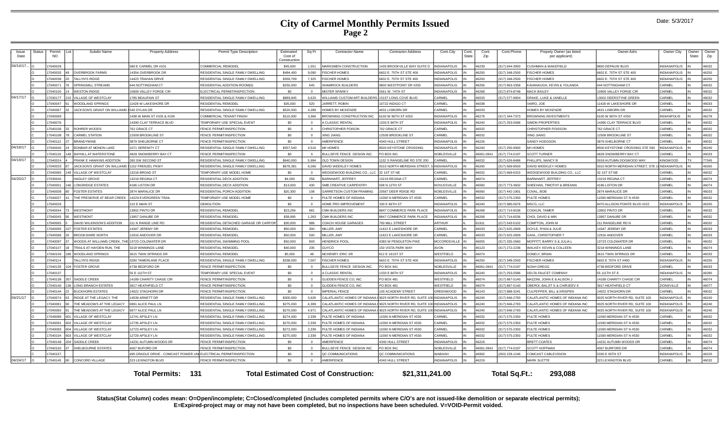#### **City of Carmel Monthly Permits Issued Page 2**

| <b>Issue</b><br>Date | Status | Permit<br><b>NO</b> | Subdiv Name                              | <b>Property Address</b>                                           | Permit Type Description              | Estimated<br>Cost of<br>Constructio | Sq Ft          | <b>Contractor Name</b>                       | <b>Contractor Address</b>         | Cont.City           | Cont.<br><b>State</b> | Cont.<br>Zip | Cont.Phone     | Propety Owner (as listed<br>per applicant) | Owner Adrs                      | Owner City          | Owner<br>State | Owner<br>Zip |
|----------------------|--------|---------------------|------------------------------------------|-------------------------------------------------------------------|--------------------------------------|-------------------------------------|----------------|----------------------------------------------|-----------------------------------|---------------------|-----------------------|--------------|----------------|--------------------------------------------|---------------------------------|---------------------|----------------|--------------|
| 04/14/17             |        | 7040028             |                                          | 580 E CARMEL DR #10                                               | <b>COMMERCIAL REMODEL</b>            | \$45,000                            | 1.551          | <b>MARKSMEN CONSTRUCTION</b>                 | <b>435 BROOKVILLE WAY SUITE I</b> | <b>INDIANAPOLIS</b> |                       | 46239        | 317) 844-3993  | CUSHMAN & WAKEFIELD                        | 850 DEPAUW BLVD                 | INDIANAPOLIS        |                | 46032        |
|                      |        | 7040035             | <b>OVERBROOK FARMS</b>                   | 14354 OVERBROOK DR                                                | RESIDENTIAL SINGLE FAMILY DWELLING   | \$484,400                           | 9,090          | <b>FISCHER HOMES</b>                         | 602 E. 75TH ST STE 400            | NDIANAPOLIS         |                       | 46250        | 317) 348-2500  | <b>FISCHER HOMES</b>                       | 602 E. 75TH ST STE 400          | <b>INDIANAPOLIS</b> |                | 46250        |
|                      |        | 7040038             | TALLYN'S RIDGE                           | <b>4423 TRAHAN DRIVE</b>                                          | RESIDENTIAL SINGLE FAMILY DWELLING   | \$359,799                           | 7.325          | <b>FISCHER HOMES</b>                         | 602 E. 75TH ST STE 400            | <b>NDIANAPOLIS</b>  |                       | 16250        | 317) 348-2500  | <b>FISCHER HOMES</b>                       | 602 E. 75TH ST STE 400          | <b>INDIANAPOLIS</b> |                | 46250        |
|                      |        | 7040071             | <b>SPRINGMILL STREAMS</b>                | 644 NOTTINGHAM CT                                                 | RESIDENTIAL ADDITION-ROOM(S)         | \$250,000                           | 645            | SHAMROCK BUILDERS                            | 800 WESTPOINT DR #200             | NDIANAPOLIS         |                       | 46256        | 317) 863-3358  | <b>KAVANAUGH, KEVIN &amp; YOLANDA</b>      | <b>644 NOTTINGHAM CT</b>        | CARMEL              |                | 46032        |
|                      |        | 7040100             | <b>WESTON RIDGE</b>                      | 10909 VALLEY FORGE CIR                                            | ELECTRICAL PERMIT/INSPECTION         | \$0                                 | $\Omega$       | <b>MISTER SPARKY</b>                         | 5561 W. 74TH ST                   | <b>INDIANAPOLIS</b> |                       | 83661        | 317) 874-8748  | MACK RAILEY                                | 0909 VALLEY FORGE CIF           | CARMEI              |                | 46032        |
| 04/17/17             |        | 7030177             | <b>ILLAGE OF WESTCLAY</b>                | 1785 BEAUFAIN ST                                                  | RESIDENTIAL SINGLE FAMILY DWELLING   | \$889.945                           | 6.620          | WILLIAMS CUSTOM ART BUILDERS                 | 5157 LONG COVE BLVD               | CARMEL              | <b>IN</b>             | <b>22081</b> | (317) 577-9904 | DRAKE, LUKE & JANELLE                      | 3002 DEERSTYNE GREEN            | CARMEL              |                | 46032        |
|                      |        | 7040047             | WOODLAND SPRINGS                         | 11428 W LAKESHORE DR                                              | <b>RESIDENTIAL REMODEL</b>           | \$35,000                            | 520            | JARRETT, ROBIN                               | 0722 INDIGO CT                    | CARMEL              | IN                    | 46038        |                | VAIRO, JOE                                 | 1428 W LAKESHORE DR             | CARMEL              |                | 46033        |
|                      |        | 7040067             | ACKSON'S GRANT ON WILLIAMS (540 DYLAN DR |                                                                   | RESIDENTIAL SINGLE FAMILY DWELLING   | \$520,000                           | 4.289          | HOMES BY MCKENZIE                            | <b>1631 LISBORN DF</b>            | CARMEL              | <b>IN</b>             | 46033        |                | HOMES BY MCKENZIE                          | <b>4631 LISBORN DR</b>          | CARMEL              |                | 46032        |
|                      |        | 7040069             |                                          | 1438 W MAIN ST #105 & #106                                        | COMMERCIAL TENANT FINISH             | \$110,000                           | 3.366          | <b>BROWNING CONSTRUCTION INC</b>             | 100 W 96TH ST #250                | <b>NDIANAPOLIS</b>  |                       | 16278        | 317) 344-7373  | <b>BROWNING INVESTMENTS</b>                | 100 W 96TH ST #250              | INDIANPOLIS         |                | 46278        |
|                      |        | 7040076             |                                          | 14390 CLAY TERRACE BLVD                                           | TEMPORARY USE SPECIAL EVENT          | \$0                                 | $\Omega$       | <b>CLASSIC RENTAL</b>                        | 333 E 86TH ST                     | <b>INDIANAPOLIS</b> |                       | 46240        | 317) 253-0586  | <b>SIMON PROPERTIES</b>                    | 4390 CLAY TERRACE BLVD          | CARMEL              |                | 46032        |
|                      |        | 7040106             | ROHRER WOODS                             | 762 GRACE CT                                                      | FENCE PERMIT/INSPECTION              | \$0                                 | $\Omega$       | <b>CHRISTOPHER POISON</b>                    | 62 GRACE CT                       | CARMEL              | <b>IN</b>             | 46032        |                | CHRISTOPHER POISSON                        | 62 GRACE CT                     | CARMEL              |                | 46032        |
|                      |        | 17040108            | <b>CARMEL STATION</b>                    | 12508 BROOKLINE ST                                                | FENCE PERMIT/INSPECTION              | \$0                                 | $\overline{0}$ | <b>XING JIANG</b>                            | 2508 BROOKLINE ST                 | CARMEL              |                       | 46032        |                | <b>XING JIANG</b>                          | 2508 BROOKLINE ST               | CARMEL              |                | 46032        |
|                      |        | 7040112             | BRANDYWINE                               | 3879 SHELBORNE CT                                                 | FENCE PERMIT/INSPECTION              | \$0                                 | $\Omega$       | AMERIFENCE                                   | 340 HULL STREET                   | NDIANAPOLIS         |                       | 8226         |                | SANDY HODGSON                              | 879 SHEI BORNE CT               | CARMEL              |                | 46032        |
| 04/18/17             |        | 7040040             | BONBAR AT MONON LAKE                     | 1071 SERENITY CT                                                  | RESIDENTIAL SINGLE FAMILY DWELLING   | \$357.540                           | 4,516          | <b>M/I HOMES</b>                             | 500 KEYSTONE CROSSING             | <b>INDIANAPOLIS</b> |                       | 16240        | 317) 255-9900  | <b>M/I HOMES</b>                           | 500 KEYSTONE CROSSING STE 590   | <b>INDIANAPOLIS</b> |                | 46240        |
|                      |        | 7040119             | BAYHILL AT WATERSTONE                    | 4828 SNOWBERRY BAY CT                                             | FENCE PERMIT/INSPECTION              | sn.                                 | $\Omega$       | BULLSEYE FENCE DESIGN INC.                   | O BOX 941                         | <b>NOBLESVILLE</b>  |                       | 16061-0941   | 317) 774-0197  | <b>SCOTT TURNER</b>                        | 828 SNOWBERRY BAY CT            | <b>ARMEL</b>        |                | 46033        |
| 04/19/17             |        | 7040024             | <b>FRANK F HAWKINS ADDITION</b>          | 260 SW SECOND ST                                                  | RESIDENTIAL SINGLE FAMILY DWELLING   | \$640,000                           | 5.994          | <b>OLD TOWN DESIGN</b>                       | 132 S RANGELINE RD STE 200        | <b>ARMEI</b>        |                       | 6032         | 317) 626-8486  | PHILLIPS, NANCY I                          | 918 AUTUMN DOGWOOD WAY          | <b>INGWOOD</b>      |                | 77345        |
|                      |        | 7040033             | JACKSON'S GRANT ON WILLIAMS              | 1152 FRENZEL PKW                                                  | RESIDENTIAL SINGLE FAMILY DWELLING   | \$678.381                           | 6.266          | DAVID WEEKLEY HOMES                          | 9310 NORTH MERIDIAN STREET        | <b>INDIANAPOLIS</b> |                       | 03981        | (317) 669-8500 | DAVID WEEKLEY HOMES                        | 9310 NORTH MERIDIAN STREET, STE | <b>INDIANAPOLIS</b> |                | 46260        |
|                      |        | 7040085             | <b>/ILLAGE OF WESTCLAY</b>               | 13218 BROAD ST                                                    | TEMPORARY USE MODEL HOME             | S <sub>0</sub>                      | $\Omega$       | WEDGEWOOD BUILDING CO., LLC                  | 32 1ST ST NE                      | CARMEL              | IN                    | 46032        | (317) 669-6315 | WEDGEWOOD BUILDING CO., LLC                | 32 1ST ST NE                    | CARMEL              |                | 46032        |
| 04/20/17             |        | 7030040             | <b>HADLEY GROVE</b>                      | 13219 REGINA CT                                                   | RESIDENTIAL DECK ADDITION            | \$4,000                             | 256            | BARNHART, JEFFREY                            | 3219 REGINA CT                    | CARMEL              |                       | 46074        |                | <b>BARNHART, JEFFREY</b>                   | 3219 REGINA CT                  | CARMEL              |                | 46074        |
|                      |        | 7040001             | ONGRIDGE ESTATES                         | 4186 LISTON DR                                                    | RESIDENTIAL DECK ADDITION            | \$13,000                            | 430            | SMB CREATIVE CARPENTRY                       | 508 N 12TH ST                     | <b>NOVLESVILLE</b>  |                       | 03064        | 317) 773-3602  | SHEEHAN, TIMOTHY & BREANN                  | 186 LISTON DR                   | <b>CARMEL</b>       |                | 46074        |
|                      |        | 7040008             | <b>FOSTER ESTATES</b>                    | 2874 MARALICE DR                                                  | RESIDENTIAL PORCH ADDITION           | \$20,300                            | 108            | <b>GARRETSON CUSTOM FRAMING</b>              | 0567 DEER RDIGE RD                | NOBLESVILLE         |                       | 08084        | 317) 442-1901  | COVAL, BOB                                 | 874 MARALICE DR                 | <b>CARMEL</b>       |                | 46033        |
|                      |        | 7040027             | THE PRESERVE AT BEAR CREEK               | 14229 EVERGREEN TRAIL                                             | TEMPORARY USE MODEL HOME             | \$0                                 |                | PULTE HOMES OF INDIANA                       | 590 N MERIDIAN ST #530            | CARMEL              |                       | 6032         | 317) 575-2350  | PULTE HOMES                                | 1590 MERIDIAN ST N #530         | CARMEL              |                | 46032        |
|                      |        | 7040029             |                                          | 210 E MAIN ST                                                     | <b>DEMOLITION</b>                    | \$0                                 | $\sqrt{2}$     | HOME PRO IMPROVEMENT                         | 330 E 86TH ST                     | <b>INDIANAPOLIS</b> |                       | 46240        | (317) 985-0676 | MSCG, LLC                                  | 3470 ALLISON POINTE BLVD #222   | <b>INDIANAPOLIS</b> |                | 46250        |
|                      |        | 17040044            | <b>WESTMONT</b>                          | 13902 PINTO DR                                                    | <b>RESIDENTIAL REMODEL</b>           | \$23,256                            | 681            | CMH BUILDERS INC                             | <b>8847 COMMERCE PARK PLACE</b>   | <b>INDIANAPOLIS</b> |                       | 46268        | (317) 714-6536 | COSKUN, TAMER                              | 3902 PINTO DR                   | CARMEL              |                | 46032        |
|                      |        | 7040045             | <b>WESTMONT</b>                          | 13957 DANUBE DR                                                   | RESIDENTIAL REMODEL                  | \$38,995                            | 1,263          | CMH BUILDERS INC                             | 847 COMMERCE PARK PLACE           | <b>NDIANAPOLIS</b>  |                       | 16268        | (317) 714-6536 | CHOI, DAVID & MIN                          | 3957 DANUBE DR                  | CARMEL              |                | 46032        |
|                      |        | 7040065             | DAVID WILKINSON'S ADDITION               | 211 N RANGE LINE RD                                               | RESIDENTIAL DETACHED GARAGE OR CARPO | \$30,000                            | 988            | COACH HOUSE GARAGES                          | OO MILL STREET                    | <b>ARTHUR</b>       |                       | 1911         | 217) 543-5102  | COMPTON, JOHN M                            | 1 RANGELINE RD N                | CARMEL              |                | 46032        |
|                      |        | 7040095             | <b>FOSTER ESTATES</b>                    | 14347 JEREMY DR                                                   | <b>RESIDENTIAL REMODE</b>            | \$50,000                            | 300            | MILLER, AMY                                  | 1422 E LAKESHORE DR               | CARMEL              |                       | 46033        | (317) 625-2809 | DOYLE, RYAN & JULIE                        | 4347 JEREMY DR                  | CARMEL              |                | 46033        |
|                      |        | 7040096             | <b>BROOKSHIRE NORTH</b>                  | 12916 ANDOVER DR                                                  | <b>RESIDENTIAL REMODEL</b>           | \$50,000                            | 500            | MILLER, AMY                                  | 1422 E LAKESHORE DR               | CARMEL              |                       | 22031        | (317) 625-2809 | GAHL, CHRISTOPHER T                        | 2916 ANDOVER                    | CARMEL              |                | 46033        |
|                      |        | 7040097             | WOODS AT WILLIAMS CREEK. THE             | 13723 COLDWATER DR                                                | RESIDENTIAL SWIMMING POOL            | \$50,000                            | 800            | <b>HENDRICK POOL</b>                         | 383 W PENDLETON PIKE              | <b>MCCORDSVILLE</b> |                       | 46055        | (317) 335-2660 | MOFFITT, BARRY S & JULIA I                 | 3723 COLDWATER DI               | CARMEL              |                | 46032        |
|                      |        | 17040107            | TRAILS AT HAYDEN RUN. THE                | 3218 WINNINGS LANE                                                | RESIDENTIAL REMODEL                  | \$40,000                            | 235            | <b>GUYCO</b>                                 | 50 VISTA PARK WAY                 | <b>AVON</b>         | <b>IN</b>             | 46123        | (317) 272-2236 | WALKEY, KEVIN & COLLEEN                    | 3218 WINNINGS LANE              | CARMEL              |                | 46074        |
|                      |        | 7040109             | <b>VOODLAND SPRINGS</b>                  | 3615 TWIN SPRINGS DR                                              | RESIDENTIAL REMODEL                  | \$5,000                             | 48             | <b>MCHENRY, ERIC SR</b>                      | 12 E 161ST ST                     | WESTFIELD           |                       | 46074        |                | DONELY, BRIAN                              | 615 TWIN SPRINGS DR             | CARMEL              |                | 46033        |
|                      |        | 7040114             | <b>ALLYN'S RIDGE</b>                     | 3290 TAMERLANE PLACE                                              | RESIDENTIAL SINGLE FAMILY DWELLING   | \$338,000                           | 7.007          | <b>FISCHER HOMES</b>                         | 602 E. 75TH ST STE 400            | <b>NDIANAPOLIS</b>  |                       | 16250        | 317) 348-2500  | <b>FISCHER HOMES</b>                       | 6602 E 75TH ST #400             | <b>NDIANAPOLIS</b>  |                | 46250        |
|                      |        | 7040135             | <b>FOSTER GROVE</b>                      | 4738 BEDFORD DR                                                   | FENCE PERMIT/INSPECTION              | \$0                                 | $\Omega$       | BULLSEYE FENCE DESIGN INC.                   | PO BOX 941                        | <b>NOBLESVILLE</b>  |                       | 16061-0941   | 317) 774-0197  | NOAH GREGG                                 | 738 BEDFORD DRIVE               | CARMEL              |                | 46033        |
|                      |        | 17040137            |                                          | 55 E 111TH ST                                                     | TEMPORARY USE SPECIAL EVENT          | \$0                                 | $\Omega$       | A CLASSIC RENTAL                             | 333 E 86TH ST                     | <b>INDIANAPOLIS</b> |                       | 46240        | 317) 253-0586  | DELTA FAUCET COMPANY                       | 55 111 TH ST                    | <b>INDIANAPOLIS</b> |                | 46280        |
|                      |        | 7040139             | SADDLE CREEK                             | 14189 CHARITY CHASE CIR                                           | FENCE PERMIT/INSPECTION              | \$0                                 | $\overline{0}$ | GLIDDEN FENCE CO, INC                        | <b>O BOX 481</b>                  | WESTFIELD           |                       | 46074        | 317) 867-5140  | MAZZINI, JOHN E & ALISON J                 | 4189 CHARITY CHASE CIR          | CARMEL              |                | 46074        |
|                      |        | 17040140            | <b>LONG BRANCH ESTATES</b>               | 3917 HEATHFIELD CT                                                | FENCE PERMIT/INSPECTION              | \$0                                 | $\Omega$       | GLIDDEN FENCE CO. INC                        | PO BOX 481                        | WESTFIELD           |                       | 46074        | (317) 867-5140 | OBEROI, BALJIT S & CHIRJEEV K              | 917 HEATHFIELD CT               | <b>ZIONSVILLE</b>   |                | 46077        |
|                      |        | 7040144             | <b>BUCKHORN ESTATES</b>                  | 14022 STAGHORN DF                                                 | FENCE PERMIT/INSPECTION              | \$0                                 | $\Omega$       | <b>IMPERIAL FENCE</b>                        | 00 ACADEMY STREET                 | GREENWOOD           |                       | 46143        | (317) 888-3241 | CULPEPPER, BILL & KRISPEN                  | 4022 STAGHORN DR                | CARMEL              |                | 46032        |
| 04/21/17             |        | 7040074             | RIDGE AT THE LEGACY. THE                 | 14539 ARNETT DR                                                   | RESIDENTIAL SINGLE FAMILY DWELLING   | \$300,000                           | 5.626          | CALATLANTIC HOMES OF INDIANA                 | 9025 NORTH RIVER RD, SUITE        | <b>INDIANAPOLIS</b> |                       | 16240        | 317) 846-2783  | CALATLANTIC HOMES OF INDIANA INC           | 025 NORTH RIVER RD, SUITE 100   | <b>NDIANAPOLIS</b>  |                | 46240        |
|                      |        | 7040081             | THE MEADOWS AT THE LEGACY                | 6991 ALICE PAUL LN                                                | RESIDENTIAL SINGLE FAMILY DWELLING   | \$275,000                           | 4,399          | CALATLANTIC HOMES OF INDIA                   | 025 NORTH RIVER RD, SUITE         | <b>INDIANAPOLIS</b> |                       | 46240        | (317) 846-2783 | CALATLANTIC HOMES OF INDIANA INC           | 025 NORTH RIVER RD, SUITE 100   | <b>INDIANAPOLIS</b> |                | 46240        |
|                      |        | 7040083             | THE MEADOWS AT THE LEGACY                | 6977 ALICE PAUL LN                                                | RESIDENTIAL SINGLE FAMILY DWELLING   | \$270,000                           | 4.971          | CALATLANTIC HOMES OF INDIAN                  | 025 NORTH RIVER RD, SUITE         | <b>INDIANAPOLIS</b> |                       | 46240        | (317) 846-2783 | CALATLANTIC HOMES OF INDIANA INC           | 025 NORTH RIVER RD, SUITE 100   | <b>INDIANAPOLIS</b> |                | 46240        |
|                      |        | 7040089             | <b>ILLAGE OF WESTCLAY</b>                | 12741 APSLEY LN                                                   | RESIDENTIAL SINGLE FAMILY DWELLING   | \$274,000                           | 2.339          | PULTE HOMES OF INDIANA                       | 1590 N MERIDIAN ST #530           | CARMEL              |                       | 46032        | (317) 575-2350 | PULTE HOMES                                | 590 MERIDIAN ST N #530          | CARMEL              |                | 46032        |
|                      |        | 7040091             | <b>VILLAGE OF WESTCLAY</b>               | 12735 APSLEY LN                                                   | RESIDENTIAL SINGLE FAMILY DWELLING   | \$270,000                           | 2.339          | PULTE HOMES OF INDIANA                       | 1590 N MERIDIAN ST #530           | CARMEL              | <b>IN</b>             | 46032        | (317) 575-2350 | PULTE HOMES                                | 1590 MERIDIAN ST N #530         | CARMEL              |                | 46032        |
|                      |        | 7040093             | <b>ILLAGE OF WESTCLAY</b>                | 12723 APSLEY LN                                                   | RESIDENTIAL SINGLE FAMILY DWELLING   | \$272,000                           | 2.339          | PULTE HOMES OF INDIANA                       | 1590 N MERIDIAN ST #530           | CARMEL              | IN                    | 46032        | (317) 575-2350 | PULTE HOMES                                | 1590 MERIDIAN ST N #530         | CARMEL              |                | 46032        |
|                      |        | 7040104             | <b>ILLAGE OF WESTCLAY</b>                | 12729 APSLEY LN                                                   | RESIDENTIAL SINGLE FAMILY DWELLING   | \$270,000                           | 2.339          | PULTE HOMES OF INDIANA                       | 1590 N MERIDIAN ST #530           | CARMEL              |                       | <b>CENAI</b> | 317) 575-2350  | PULTE HOMES                                | 1590 MERIDIAN ST N #530         | CARMEL              |                | 46032        |
|                      |        | 7040149             | <b>ADDLE CREEK</b>                       | 14231 AUTUMN WOODS DR                                             | FENCE PERMIT/INSPECTION              | \$0                                 | $\Omega$       | <b>MERIFENCE</b>                             | 340 HULL STREET                   | <b>INDIANAPOLIS</b> |                       | 6226         |                | <b>BRETT COATES</b>                        | 4231 AUTUMN WOODS DF            | CARMEL              |                | 46074        |
|                      |        | 17040150            | SHELBOURNE ESTATES                       | 4067 BLIEORD DR                                                   | FENCE PERMIT/INSPECTION              | \$0                                 | $\Omega$       | BULLSEYE FENCE DESIGN INC.                   | O BOX 941                         | NOBLESVILLE         |                       | 16061-0941   | 317) 774-0197  | <b>SCOTT HOFFMAN</b>                       | 1067 BURFORD DR                 | CARMEL              |                | 46074        |
|                      |        | 7040157             |                                          | 495 GRADLE DRIVE - COMCAST POWER UNI ELECTRICAL PERMIT/INSPECTION |                                      | \$0                                 | $\Omega$       | QC COMMUNICATIONS                            | QC COMMUNICATIONS                 | VABASH              |                       | 16992        | 260) 228-1246  | COMCAST CABLEVISION                        | 330 E 65TH ST                   | NDIANAPOLIS         |                | 46220        |
| 04/24/17             |        | 7040145             | <b>CONCORD VILLAGE</b>                   | 323 LEXINGTON BLVD                                                | FENCE PERMIT/INSPECTION              | \$0                                 |                | AMERIFENCE                                   | 4340 HULL STREET                  | <b>INDIANAPOLIS</b> |                       | 46226        |                | <b>MARK SLETTE</b>                         | 323 LEXINGTON BLVD              | CARMEL              |                | 46032        |
|                      |        |                     |                                          |                                                                   |                                      |                                     |                |                                              |                                   |                     |                       |              |                |                                            |                                 |                     |                |              |
|                      |        |                     |                                          | <b>Total Permits: 131</b>                                         |                                      |                                     |                | <b>Total Estimated Cost of Construction:</b> | \$21,311,241.00                   |                     |                       |              | Total Sq.Ft.:  | 293.088                                    |                                 |                     |                |              |

**Status(Stat Column) codes mean: O=Open/incomplete; C=Closed/completed (includes completed permits where C/O's are not issued-like demolition or separate electrical permits); E=Expired-project may or may not have been completed, but no inspections have been scheduled. V=VOID-Permit voided.**